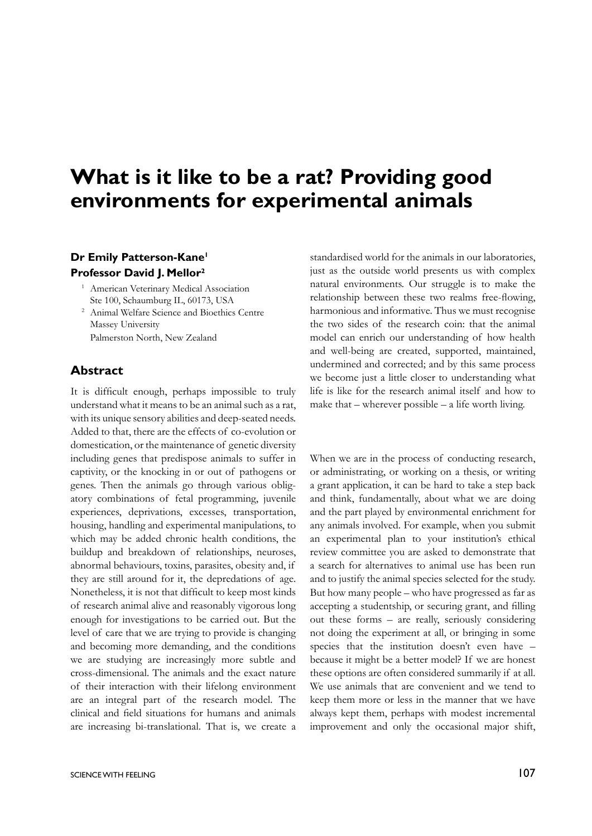# **What is it like to be a rat? Providing good environments for experimental animals**

## **Dr Emily Patterson-Kane1 Professor David J. Mellor2**

- <sup>1</sup> American Veterinary Medical Association Ste 100, Schaumburg IL, 60173, USA
- <sup>2</sup> Animal Welfare Science and Bioethics Centre Massey University Palmerston North, New Zealand

#### **Abstract**

It is difficult enough, perhaps impossible to truly understand what it means to be an animal such as a rat, with its unique sensory abilities and deep-seated needs. Added to that, there are the effects of co-evolution or domestication, or the maintenance of genetic diversity including genes that predispose animals to suffer in captivity, or the knocking in or out of pathogens or genes. Then the animals go through various obligatory combinations of fetal programming, juvenile experiences, deprivations, excesses, transportation, housing, handling and experimental manipulations, to which may be added chronic health conditions, the buildup and breakdown of relationships, neuroses, abnormal behaviours, toxins, parasites, obesity and, if they are still around for it, the depredations of age. Nonetheless, it is not that difficult to keep most kinds of research animal alive and reasonably vigorous long enough for investigations to be carried out. But the level of care that we are trying to provide is changing and becoming more demanding, and the conditions we are studying are increasingly more subtle and cross-dimensional. The animals and the exact nature of their interaction with their lifelong environment are an integral part of the research model. The clinical and field situations for humans and animals are increasing bi-translational. That is, we create a

just as the outside world presents us with complex natural environments. Our struggle is to make the relationship between these two realms free-flowing, harmonious and informative. Thus we must recognise the two sides of the research coin: that the animal model can enrich our understanding of how health and well-being are created, supported, maintained, undermined and corrected; and by this same process we become just a little closer to understanding what life is like for the research animal itself and how to make that – wherever possible – a life worth living.

standardised world for the animals in our laboratories,

When we are in the process of conducting research, or administrating, or working on a thesis, or writing a grant application, it can be hard to take a step back and think, fundamentally, about what we are doing and the part played by environmental enrichment for any animals involved. For example, when you submit an experimental plan to your institution's ethical review committee you are asked to demonstrate that a search for alternatives to animal use has been run and to justify the animal species selected for the study. But how many people – who have progressed as far as accepting a studentship, or securing grant, and filling out these forms – are really, seriously considering not doing the experiment at all, or bringing in some species that the institution doesn't even have – because it might be a better model? If we are honest these options are often considered summarily if at all. We use animals that are convenient and we tend to keep them more or less in the manner that we have always kept them, perhaps with modest incremental improvement and only the occasional major shift,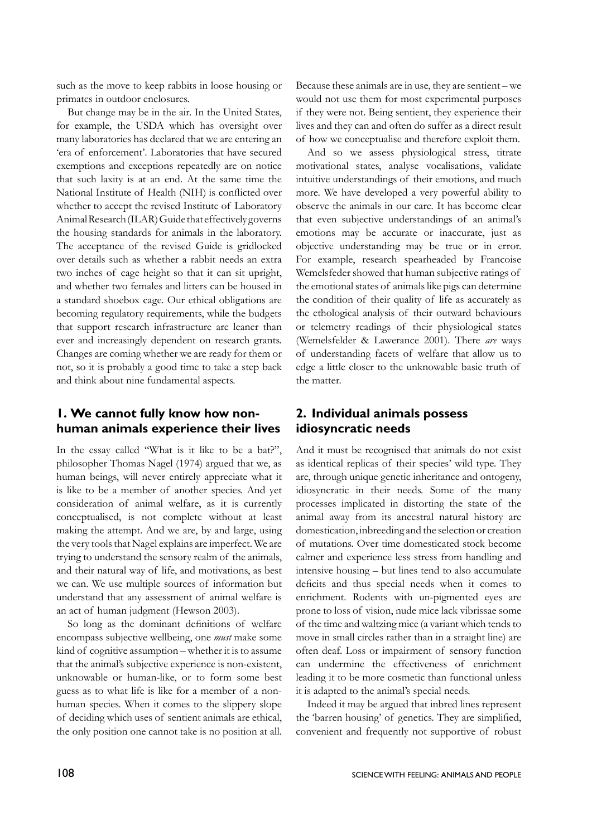such as the move to keep rabbits in loose housing or primates in outdoor enclosures.

But change may be in the air. In the United States, for example, the USDA which has oversight over many laboratories has declared that we are entering an 'era of enforcement'. Laboratories that have secured exemptions and exceptions repeatedly are on notice that such laxity is at an end. At the same time the National Institute of Health (NIH) is conflicted over whether to accept the revised Institute of Laboratory Animal Research (ILAR) Guide that effectively governs the housing standards for animals in the laboratory. The acceptance of the revised Guide is gridlocked over details such as whether a rabbit needs an extra two inches of cage height so that it can sit upright, and whether two females and litters can be housed in a standard shoebox cage. Our ethical obligations are becoming regulatory requirements, while the budgets that support research infrastructure are leaner than ever and increasingly dependent on research grants. Changes are coming whether we are ready for them or not, so it is probably a good time to take a step back and think about nine fundamental aspects.

## **1. We cannot fully know how nonhuman animals experience their lives**

In the essay called "What is it like to be a bat?", philosopher Thomas Nagel (1974) argued that we, as human beings, will never entirely appreciate what it is like to be a member of another species. And yet consideration of animal welfare, as it is currently conceptualised, is not complete without at least making the attempt. And we are, by and large, using the very tools that Nagel explains are imperfect. We are trying to understand the sensory realm of the animals, and their natural way of life, and motivations, as best we can. We use multiple sources of information but understand that any assessment of animal welfare is an act of human judgment (Hewson 2003).

So long as the dominant definitions of welfare encompass subjective wellbeing, one *must* make some kind of cognitive assumption – whether it is to assume that the animal's subjective experience is non-existent, unknowable or human-like, or to form some best guess as to what life is like for a member of a nonhuman species. When it comes to the slippery slope of deciding which uses of sentient animals are ethical, the only position one cannot take is no position at all.

Because these animals are in use, they are sentient – we would not use them for most experimental purposes if they were not. Being sentient, they experience their lives and they can and often do suffer as a direct result of how we conceptualise and therefore exploit them.

And so we assess physiological stress, titrate motivational states, analyse vocalisations, validate intuitive understandings of their emotions, and much more. We have developed a very powerful ability to observe the animals in our care. It has become clear that even subjective understandings of an animal's emotions may be accurate or inaccurate, just as objective understanding may be true or in error. For example, research spearheaded by Francoise Wemelsfeder showed that human subjective ratings of the emotional states of animals like pigs can determine the condition of their quality of life as accurately as the ethological analysis of their outward behaviours or telemetry readings of their physiological states (Wemelsfelder & Lawerance 2001). There *are* ways of understanding facets of welfare that allow us to edge a little closer to the unknowable basic truth of the matter.

# **2. Individual animals possess idiosyncratic needs**

And it must be recognised that animals do not exist as identical replicas of their species' wild type. They are, through unique genetic inheritance and ontogeny, idiosyncratic in their needs. Some of the many processes implicated in distorting the state of the animal away from its ancestral natural history are domestication, inbreeding and the selection or creation of mutations. Over time domesticated stock become calmer and experience less stress from handling and intensive housing – but lines tend to also accumulate deficits and thus special needs when it comes to enrichment. Rodents with un-pigmented eyes are prone to loss of vision, nude mice lack vibrissae some of the time and waltzing mice (a variant which tends to move in small circles rather than in a straight line) are often deaf. Loss or impairment of sensory function can undermine the effectiveness of enrichment leading it to be more cosmetic than functional unless it is adapted to the animal's special needs.

Indeed it may be argued that inbred lines represent the 'barren housing' of genetics. They are simplified, convenient and frequently not supportive of robust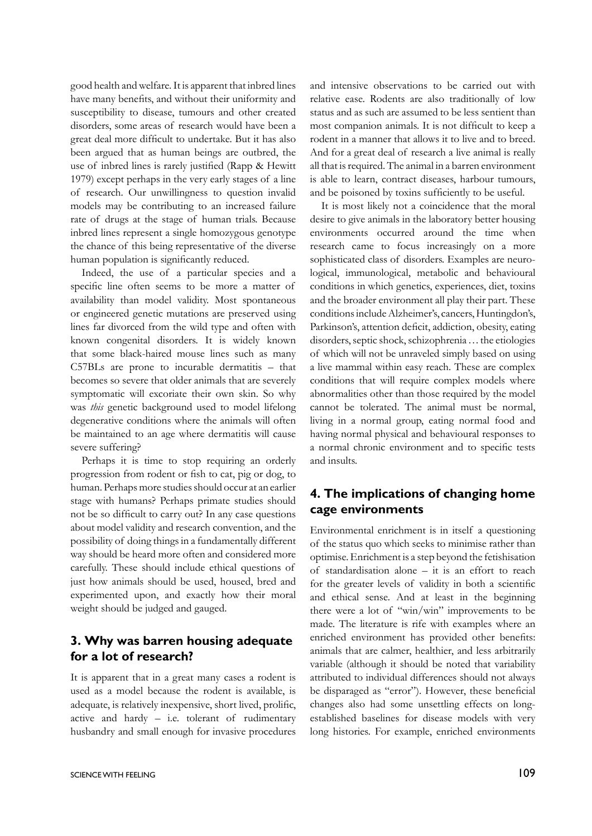good health and welfare. It is apparent that inbred lines have many benefits, and without their uniformity and susceptibility to disease, tumours and other created disorders, some areas of research would have been a great deal more difficult to undertake. But it has also been argued that as human beings are outbred, the use of inbred lines is rarely justified (Rapp & Hewitt 1979) except perhaps in the very early stages of a line of research. Our unwillingness to question invalid models may be contributing to an increased failure rate of drugs at the stage of human trials. Because inbred lines represent a single homozygous genotype the chance of this being representative of the diverse human population is significantly reduced.

Indeed, the use of a particular species and a specific line often seems to be more a matter of availability than model validity. Most spontaneous or engineered genetic mutations are preserved using lines far divorced from the wild type and often with known congenital disorders. It is widely known that some black-haired mouse lines such as many C57BLs are prone to incurable dermatitis – that becomes so severe that older animals that are severely symptomatic will excoriate their own skin. So why was *this* genetic background used to model lifelong degenerative conditions where the animals will often be maintained to an age where dermatitis will cause severe suffering?

Perhaps it is time to stop requiring an orderly progression from rodent or fish to cat, pig or dog, to human. Perhaps more studies should occur at an earlier stage with humans? Perhaps primate studies should not be so difficult to carry out? In any case questions about model validity and research convention, and the possibility of doing things in a fundamentally different way should be heard more often and considered more carefully. These should include ethical questions of just how animals should be used, housed, bred and experimented upon, and exactly how their moral weight should be judged and gauged.

### **3. Why was barren housing adequate for a lot of research?**

It is apparent that in a great many cases a rodent is used as a model because the rodent is available, is adequate, is relatively inexpensive, short lived, prolific, active and hardy – i.e. tolerant of rudimentary husbandry and small enough for invasive procedures and intensive observations to be carried out with relative ease. Rodents are also traditionally of low status and as such are assumed to be less sentient than most companion animals. It is not difficult to keep a rodent in a manner that allows it to live and to breed. And for a great deal of research a live animal is really all that is required. The animal in a barren environment is able to learn, contract diseases, harbour tumours, and be poisoned by toxins sufficiently to be useful.

It is most likely not a coincidence that the moral desire to give animals in the laboratory better housing environments occurred around the time when research came to focus increasingly on a more sophisticated class of disorders. Examples are neurological, immunological, metabolic and behavioural conditions in which genetics, experiences, diet, toxins and the broader environment all play their part. These conditions include Alzheimer's, cancers, Huntingdon's, Parkinson's, attention deficit, addiction, obesity, eating disorders, septic shock, schizophrenia…the etiologies of which will not be unraveled simply based on using a live mammal within easy reach. These are complex conditions that will require complex models where abnormalities other than those required by the model cannot be tolerated. The animal must be normal, living in a normal group, eating normal food and having normal physical and behavioural responses to a normal chronic environment and to specific tests and insults.

## **4. The implications of changing home cage environments**

Environmental enrichment is in itself a questioning of the status quo which seeks to minimise rather than optimise. Enrichment is a step beyond the fetishisation of standardisation alone – it is an effort to reach for the greater levels of validity in both a scientific and ethical sense. And at least in the beginning there were a lot of "win/win" improvements to be made. The literature is rife with examples where an enriched environment has provided other benefits: animals that are calmer, healthier, and less arbitrarily variable (although it should be noted that variability attributed to individual differences should not always be disparaged as "error"). However, these beneficial changes also had some unsettling effects on longestablished baselines for disease models with very long histories. For example, enriched environments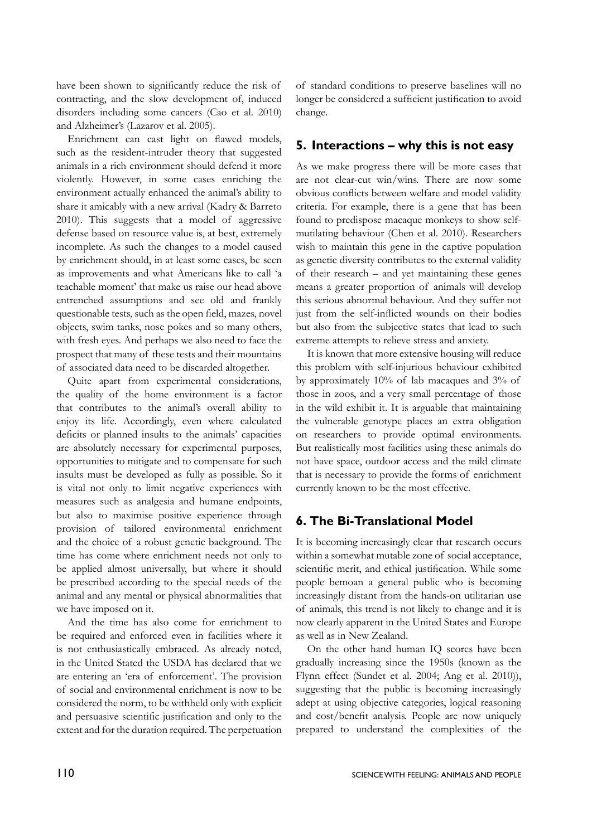have been shown to significantly reduce the risk of contracting, and the slow development of, induced disorders including some cancers (Cao et al. 2010) and Alzheimer's (Lazarov et al. 2005).

Enrichment can cast light on flawed models, such as the resident-intruder theory that suggested animals in a rich environment should defend it more violently. However, in some cases enriching the environment actually enhanced the animal's ability to share it amicably with a new arrival (Kadry & Barreto 2010). This suggests that a model of aggressive defense based on resource value is, at best, extremely incomplete. As such the changes to a model caused by enrichment should, in at least some cases, be seen as improvements and what Americans like to call 'a teachable moment' that make us raise our head above entrenched assumptions and see old and frankly questionable tests, such as the open field, mazes, novel objects, swim tanks, nose pokes and so many others, with fresh eyes. And perhaps we also need to face the prospect that many of these tests and their mountains of associated data need to be discarded altogether.

Quite apart from experimental considerations, the quality of the home environment is a factor that contributes to the animal's overall ability to enjoy its life. Accordingly, even where calculated deficits or planned insults to the animals' capacities are absolutely necessary for experimental purposes, opportunities to mitigate and to compensate for such insults must be developed as fully as possible. So it is vital not only to limit negative experiences with measures such as analgesia and humane endpoints, but also to maximise positive experience through provision of tailored environmental enrichment and the choice of a robust genetic background. The time has come where enrichment needs not only to be applied almost universally, but where it should be prescribed according to the special needs of the animal and any mental or physical abnormalities that we have imposed on it.

And the time has also come for enrichment to be required and enforced even in facilities where it is not enthusiastically embraced. As already noted, in the United Stated the USDA has declared that we are entering an 'era of enforcement'. The provision of social and environmental enrichment is now to be considered the norm, to be withheld only with explicit and persuasive scientific justification and only to the extent and for the duration required. The perpetuation

of standard conditions to preserve baselines will no longer be considered a sufficient justification to avoid change.

### **5. Interactions – why this is not easy**

As we make progress there will be more cases that are not clear-cut win/wins. There are now some obvious conflicts between welfare and model validity criteria. For example, there is a gene that has been found to predispose macaque monkeys to show selfmutilating behaviour (Chen et al. 2010). Researchers wish to maintain this gene in the captive population as genetic diversity contributes to the external validity of their research – and yet maintaining these genes means a greater proportion of animals will develop this serious abnormal behaviour. And they suffer not just from the self-inflicted wounds on their bodies but also from the subjective states that lead to such extreme attempts to relieve stress and anxiety.

It is known that more extensive housing will reduce this problem with self-injurious behaviour exhibited by approximately 10% of lab macaques and 3% of those in zoos, and a very small percentage of those in the wild exhibit it. It is arguable that maintaining the vulnerable genotype places an extra obligation on researchers to provide optimal environments. But realistically most facilities using these animals do not have space, outdoor access and the mild climate that is necessary to provide the forms of enrichment currently known to be the most effective.

## **6. The Bi-Translational Model**

It is becoming increasingly clear that research occurs within a somewhat mutable zone of social acceptance, scientific merit, and ethical justification. While some people bemoan a general public who is becoming increasingly distant from the hands-on utilitarian use of animals, this trend is not likely to change and it is now clearly apparent in the United States and Europe as well as in New Zealand.

On the other hand human IQ scores have been gradually increasing since the 1950s (known as the Flynn effect (Sundet et al. 2004; Ang et al. 2010)), suggesting that the public is becoming increasingly adept at using objective categories, logical reasoning and cost/benefit analysis. People are now uniquely prepared to understand the complexities of the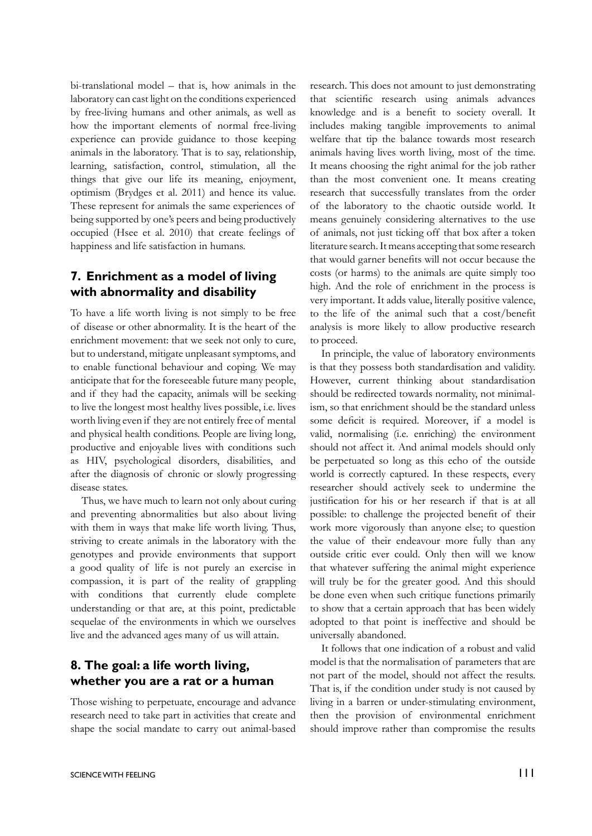bi-translational model – that is, how animals in the laboratory can cast light on the conditions experienced by free-living humans and other animals, as well as how the important elements of normal free-living experience can provide guidance to those keeping animals in the laboratory. That is to say, relationship, learning, satisfaction, control, stimulation, all the things that give our life its meaning, enjoyment, optimism (Brydges et al. 2011) and hence its value. These represent for animals the same experiences of being supported by one's peers and being productively occupied (Hsee et al. 2010) that create feelings of happiness and life satisfaction in humans.

### **7. Enrichment as a model of living with abnormality and disability**

To have a life worth living is not simply to be free of disease or other abnormality. It is the heart of the enrichment movement: that we seek not only to cure, but to understand, mitigate unpleasant symptoms, and to enable functional behaviour and coping. We may anticipate that for the foreseeable future many people, and if they had the capacity, animals will be seeking to live the longest most healthy lives possible, i.e. lives worth living even if they are not entirely free of mental and physical health conditions. People are living long, productive and enjoyable lives with conditions such as HIV, psychological disorders, disabilities, and after the diagnosis of chronic or slowly progressing disease states.

Thus, we have much to learn not only about curing and preventing abnormalities but also about living with them in ways that make life worth living. Thus, striving to create animals in the laboratory with the genotypes and provide environments that support a good quality of life is not purely an exercise in compassion, it is part of the reality of grappling with conditions that currently elude complete understanding or that are, at this point, predictable sequelae of the environments in which we ourselves live and the advanced ages many of us will attain.

### **8. The goal: a life worth living, whether you are a rat or a human**

Those wishing to perpetuate, encourage and advance research need to take part in activities that create and shape the social mandate to carry out animal-based research. This does not amount to just demonstrating that scientific research using animals advances knowledge and is a benefit to society overall. It includes making tangible improvements to animal welfare that tip the balance towards most research animals having lives worth living, most of the time. It means choosing the right animal for the job rather than the most convenient one. It means creating research that successfully translates from the order of the laboratory to the chaotic outside world. It means genuinely considering alternatives to the use of animals, not just ticking off that box after a token literature search. It means accepting that some research that would garner benefits will not occur because the costs (or harms) to the animals are quite simply too high. And the role of enrichment in the process is very important. It adds value, literally positive valence, to the life of the animal such that a cost/benefit analysis is more likely to allow productive research to proceed.

In principle, the value of laboratory environments is that they possess both standardisation and validity. However, current thinking about standardisation should be redirected towards normality, not minimalism, so that enrichment should be the standard unless some deficit is required. Moreover, if a model is valid, normalising (i.e. enriching) the environment should not affect it. And animal models should only be perpetuated so long as this echo of the outside world is correctly captured. In these respects, every researcher should actively seek to undermine the justification for his or her research if that is at all possible: to challenge the projected benefit of their work more vigorously than anyone else; to question the value of their endeavour more fully than any outside critic ever could. Only then will we know that whatever suffering the animal might experience will truly be for the greater good. And this should be done even when such critique functions primarily to show that a certain approach that has been widely adopted to that point is ineffective and should be universally abandoned.

It follows that one indication of a robust and valid model is that the normalisation of parameters that are not part of the model, should not affect the results. That is, if the condition under study is not caused by living in a barren or under-stimulating environment, then the provision of environmental enrichment should improve rather than compromise the results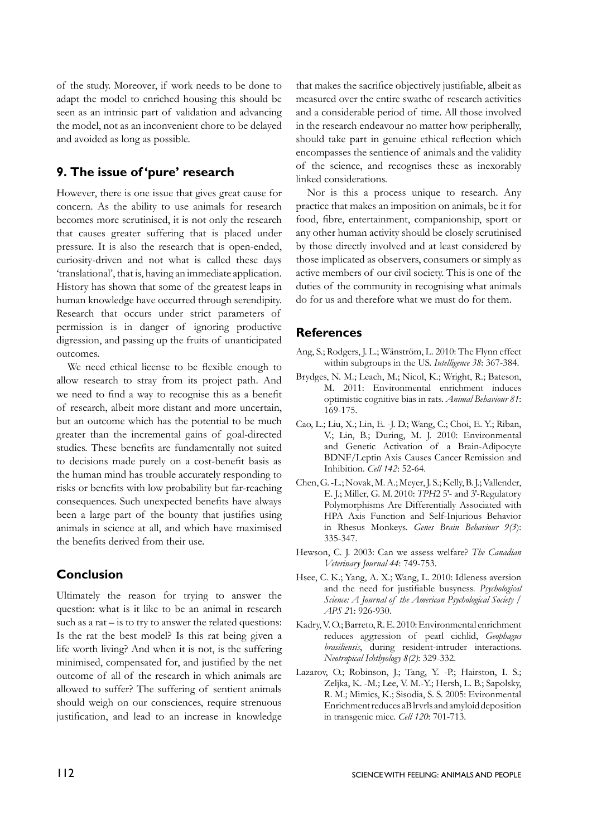of the study. Moreover, if work needs to be done to adapt the model to enriched housing this should be seen as an intrinsic part of validation and advancing the model, not as an inconvenient chore to be delayed and avoided as long as possible.

### **9. The issue of 'pure' research**

However, there is one issue that gives great cause for concern. As the ability to use animals for research becomes more scrutinised, it is not only the research that causes greater suffering that is placed under pressure. It is also the research that is open-ended, curiosity-driven and not what is called these days 'translational', that is, having an immediate application. History has shown that some of the greatest leaps in human knowledge have occurred through serendipity. Research that occurs under strict parameters of permission is in danger of ignoring productive digression, and passing up the fruits of unanticipated outcomes.

We need ethical license to be flexible enough to allow research to stray from its project path. And we need to find a way to recognise this as a benefit of research, albeit more distant and more uncertain, but an outcome which has the potential to be much greater than the incremental gains of goal-directed studies. These benefits are fundamentally not suited to decisions made purely on a cost-benefit basis as the human mind has trouble accurately responding to risks or benefits with low probability but far-reaching consequences. Such unexpected benefits have always been a large part of the bounty that justifies using animals in science at all, and which have maximised the benefits derived from their use.

## **Conclusion**

Ultimately the reason for trying to answer the question: what is it like to be an animal in research such as a rat – is to try to answer the related questions: Is the rat the best model? Is this rat being given a life worth living? And when it is not, is the suffering minimised, compensated for, and justified by the net outcome of all of the research in which animals are allowed to suffer? The suffering of sentient animals should weigh on our consciences, require strenuous justification, and lead to an increase in knowledge

that makes the sacrifice objectively justifiable, albeit as measured over the entire swathe of research activities and a considerable period of time. All those involved in the research endeavour no matter how peripherally, should take part in genuine ethical reflection which encompasses the sentience of animals and the validity of the science, and recognises these as inexorably linked considerations.

Nor is this a process unique to research. Any practice that makes an imposition on animals, be it for food, fibre, entertainment, companionship, sport or any other human activity should be closely scrutinised by those directly involved and at least considered by those implicated as observers, consumers or simply as active members of our civil society. This is one of the duties of the community in recognising what animals do for us and therefore what we must do for them.

#### **References**

- Ang, S.; Rodgers, J. L.; Wänström, L. 2010: The Flynn effect within subgroups in the US. *Intelligence 38*: 367-384.
- Brydges, N. M.; Leach, M.; Nicol, K.; Wright, R.; Bateson, M. 2011: Environmental enrichment induces optimistic cognitive bias in rats. *Animal Behaviour 81*: 169-175.
- Cao, L.; Liu, X.; Lin, E. -J. D.; Wang, C.; Choi, E. Y.; Riban, V.; Lin, B.; During, M. J. 2010: Environmental and Genetic Activation of a Brain-Adipocyte BDNF/Leptin Axis Causes Cancer Remission and Inhibition. *Cell 142*: 52-64.
- Chen, G. -L.; Novak, M. A.; Meyer, J. S.; Kelly, B. J.; Vallender, E. J.; Miller, G. M. 2010: *TPH*2 5′- and 3′-Regulatory Polymorphisms Are Differentially Associated with HPA Axis Function and Self-Injurious Behavior in Rhesus Monkeys. *Genes Brain Behaviour 9(3*): 335-347.
- Hewson, C. J. 2003: Can we assess welfare? *The Canadian Veterinary Journal 44*: 749-753.
- Hsee, C. K.; Yang, A. X.; Wang, L. 2010: Idleness aversion and the need for justifiable busyness. *Psychological Science: A Journal of the American Psychological Society / APS 2*1: 926-930.
- Kadry, V. O.; Barreto, R. E. 2010: Environmental enrichment reduces aggression of pearl cichlid, *Geophagus brasiliensis*, during resident-intruder interactions. *Neotropical Ichthyology 8(2)*: 329-332.
- Lazarov, O.; Robinson, J.; Tang, Y. -P.; Hairston, I. S.; Zeljka, K. -M.; Lee, V. M.-Y.; Hersh, L. B.; Sapolsky, R. M.; Mimics, K.; Sisodia, S. S. 2005: Evironmental Enrichment reduces aB lrvrls and amyloid deposition in transgenic mice. *Cell 120*: 701-713.